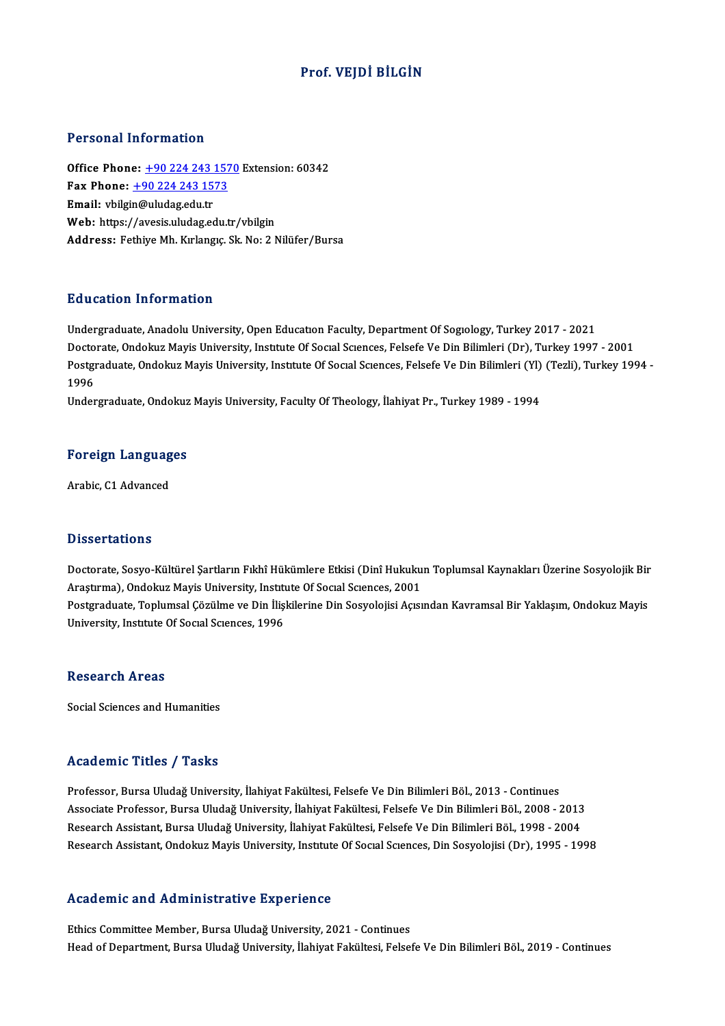#### Prof. VEJDİ BİLGİN

#### Personal Information

Office Phone: +90 224 243 1570 Extension: 60342 Fax Phone: <u>+90 224 243 157</u><br>Fax Phone: <u>+90 224 243 1573</u><br>Fmail: whilein@uludga.edu.tr Office Phone: <u>+90 224 243 :</u><br>Fax Phone: <u>+90 224 243 15</u><br>Email: vbilgi[n@uludag.edu.tr](tel:+90 224 243 1573) Email: vbilgin@uludag.edu.tr<br>Web: https://avesis.uludag.edu.tr/vbilgin Address: Fethiye Mh. Kırlangıç. Sk. No: 2 Nilüfer/Bursa

#### Education Information

Education Information<br>Undergraduate, Anadolu University, Open Education Faculty, Department Of Sogiology, Turkey 2017 - 2021<br>Destarate Ondeluu Mavis University, Institute Of Sasul Sciences, Felsefa Ve Din Bilimleri (Dn), T Du usususi Timor inucion<br>Undergraduate, Anadolu University, Open Education Faculty, Department Of Sogiology, Turkey 2017 - 2021<br>Doctorate, Ondokuz Mayis University, Institute Of Social Sciences, Felsefe Ve Din Bilimleri (D Undergraduate, Anadolu University, Open Education Faculty, Department Of Sogiology, Turkey 2017 - 2021<br>Doctorate, Ondokuz Mayis University, Institute Of Social Sciences, Felsefe Ve Din Bilimleri (Dr), Turkey 1997 - 2001<br>Po Docto<br>Postgi<br>1996<br>Under Postgraduate, Ondokuz Mayis University, Institute Of Social Sciences, Felsefe Ve Din Bilimleri (Yl)<br>1996<br>Undergraduate, Ondokuz Mayis University, Faculty Of Theology, İlahiyat Pr., Turkey 1989 - 1994

# ondergraduate, ondokuz<br>Foreign Languages <mark>Foreign Languag</mark><br>Arabic, C1 Advanced

Arabic, C1 Advanced<br>Dissertations

Dissertations<br>Doctorate, Sosyo-Kültürel Şartların Fıkhî Hükümlere Etkisi (Dinî Hukukun Toplumsal Kaynakları Üzerine Sosyolojik Bir<br>Arastırma), Ondalaya Mavis University, Institute Of Sosyal Ssyonses, 2001 2 1999 i tatroma<br>Doctorate, Sosyo-Kültürel Şartların Fıkhî Hükümlere Etkisi (Dinî Hukuku<br>Araştırma), Ondokuz Mayis University, Instıtute Of Socıal Scıences, 2001<br>Postaraduata Tanlumsal Gözülme ve Din İliskilerine Din Sosvo Doctorate, Sosyo-Kültürel Şartların Fıkhî Hükümlere Etkisi (Dinî Hukukun Toplumsal Kaynakları Üzerine Sosyolojik Bir<br>Araştırma), Ondokuz Mayis University, Institute Of Social Sciences, 2001<br>Postgraduate, Toplumsal Çözülme Araştırma), Ondokuz Mayis University, Institute Of Social Sciences, 2001<br>Postgraduate, Toplumsal Çözülme ve Din İlişkilerine Din Sosyolojisi Açısından Kavramsal Bir Yaklaşım, Ondokuz Mayis<br>University, Institute Of Social S

#### **Research Areas**

Social Sciences and Humanities

#### Academic Titles / Tasks

Academic Titles / Tasks<br>Professor, Bursa Uludağ University, İlahiyat Fakültesi, Felsefe Ve Din Bilimleri Böl., 2013 - Continues<br>Assesiste Brefessor, Bursa Uludağ University, İlahiyat Fakültesi, Felsefe Ve Din Bilimleri Böl Associate Articus 7 Austria.<br>Professor, Bursa Uludağ University, İlahiyat Fakültesi, Felsefe Ve Din Bilimleri Böl., 2013 - Continues<br>Associate Professor, Bursa Uludağ University, İlahiyat Fakültesi, Felsefe Ve Din Bilimler Professor, Bursa Uludağ University, İlahiyat Fakültesi, Felsefe Ve Din Bilimleri Böl., 2013 - Continues<br>Associate Professor, Bursa Uludağ University, İlahiyat Fakültesi, Felsefe Ve Din Bilimleri Böl., 2008 - 2013<br>Research Associate Professor, Bursa Uludağ University, İlahiyat Fakültesi, Felsefe Ve Din Bilimleri Böl., 2008 - 2013<br>Research Assistant, Bursa Uludağ University, İlahiyat Fakültesi, Felsefe Ve Din Bilimleri Böl., 1998 - 2004<br>Resea

#### Academic and Administrative Experience

Ethics Committee Member, Bursa Uludağ University, 2021 - Continues Head of Department, Bursa Uludağ University, İlahiyat Fakültesi, Felsefe Ve Din Bilimleri Böl., 2019 - Continues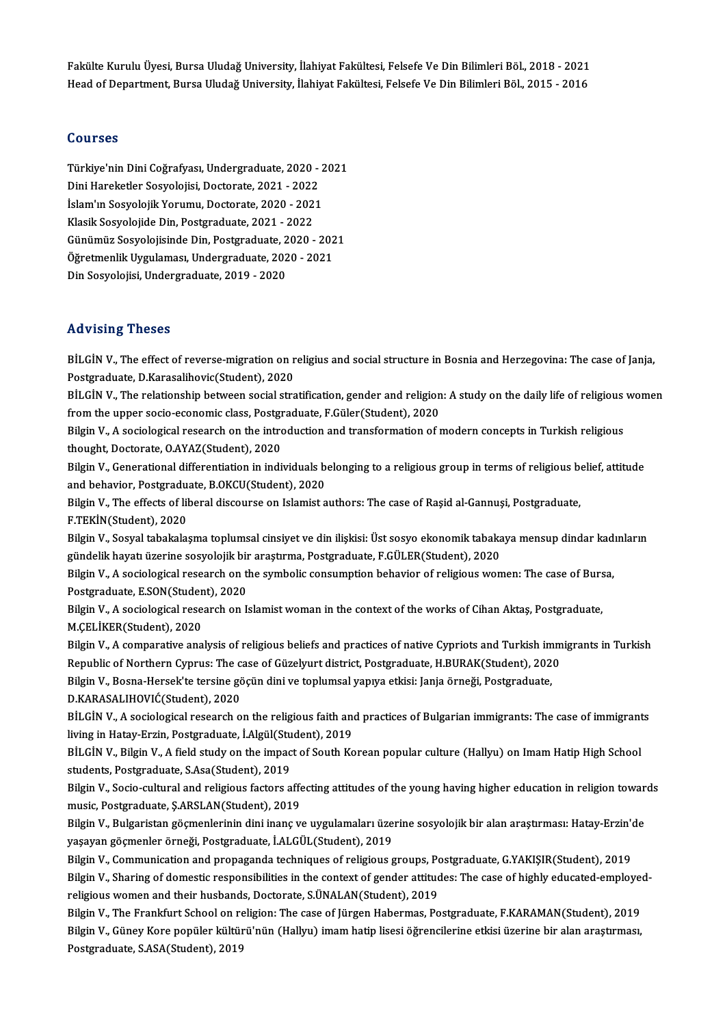Fakülte Kurulu Üyesi, Bursa Uludağ University, İlahiyat Fakültesi, Felsefe Ve Din Bilimleri Böl., 2018 - 2021<br>Head of Denartment, Bursa Uludağ University, İlahiyat Fakültesi, Felsefe Ve Din Bilimleri Böl., 2015 - 2016 Fakülte Kurulu Üyesi, Bursa Uludağ University, İlahiyat Fakültesi, Felsefe Ve Din Bilimleri Böl., 2018 - 2021<br>Head of Department, Bursa Uludağ University, İlahiyat Fakültesi, Felsefe Ve Din Bilimleri Böl., 2015 - 2016 Head of Department, Bursa Uludağ University, İlahiyat Fakültesi, Felsefe Ve Din Bilimleri Böl., 2015 - 2016<br>Courses

**Courses<br>Türkiye'nin Dini Coğrafyası, Undergraduate, 2020 - 2021<br>Dini Hareketler Sesyelejisi, Desterate, 2021 - 2022** Sourses<br>Türkiye'nin Dini Coğrafyası, Undergraduate, 2020 -<br>Dini Hareketler Sosyolojisi, Doctorate, 2021 - 2022<br>İslam'ın Sosyolojik Verumu, Doctorate, 2020, -2021 Türkiye'nin Dini Coğrafyası, Undergraduate, 2020 - 2<br>Dini Hareketler Sosyolojisi, Doctorate, 2021 - 2022<br>İslam'ın Sosyolojik Yorumu, Doctorate, 2020 - 2021<br>Klasik Sosyolojide Din Bostaraduate, 2021 - 2022 Dini Hareketler Sosyolojisi, Doctorate, 2021 - 2022<br>İslam'ın Sosyolojik Yorumu, Doctorate, 2020 - 2021<br>Klasik Sosyolojide Din, Postgraduate, 2021 - 2022 Günümüz SosyolojisindeDin,Postgraduate,2020 -2021 Klasik Sosyolojide Din, Postgraduate, 2021 - 2022<br>Günümüz Sosyolojisinde Din, Postgraduate, 2020 - 202<br>Öğretmenlik Uygulaması, Undergraduate, 2020 - 2021<br>Din Sosyolojisi, Undergraduate, 2019, 2020 Günümüz Sosyolojisinde Din, Postgraduate, 2<br>Öğretmenlik Uygulaması, Undergraduate, 202<br>Din Sosyolojisi, Undergraduate, 2019 - 2020 Din Sosyolojisi, Undergraduate, 2019 - 2020<br>Advising Theses

Advising Theses<br>BİLGİN V., The effect of reverse-migration on religius and social structure in Bosnia and Herzegovina: The case of Janja,<br>Restanaduate D Kanaslibavia(Student), 2020 Postgraduate, D.Karasalihovic(Student), 2020<br>Postgraduate, D.Karasalihovic(Student), 2020<br>Pit CiN V., The relationship between social stra BİLGİN V., The effect of reverse-migration on religius and social structure in Bosnia and Herzegovina: The case of Janja,<br>Postgraduate, D.Karasalihovic(Student), 2020<br>BİLGİN V., The relationship between social stratificati

Fostgraduate, D.Karasalihovic(Student), 2020<br>BİLGİN V., The relationship between social stratification, gender and religion<br>from the upper socio-economic class, Postgraduate, F.Güler(Student), 2020<br>Bilgin V. A sociological BİLGİN V., The relationship between social stratification, gender and religion: A study on the daily life of religious<br>from the upper socio-economic class, Postgraduate, F.Güler(Student), 2020<br>Bilgin V., A sociological res

from the upper socio-economic class, Postgraduate, F.Güler(Student), 2020<br>Bilgin V., A sociological research on the introduction and transformation of modern concepts in Turkish religious<br>thought, Doctorate, O.AYAZ(Student Bilgin V., A sociological research on the introduction and transformation of modern concepts in Turkish religious<br>thought, Doctorate, O.AYAZ(Student), 2020<br>Bilgin V., Generational differentiation in individuals belonging t

thought, Doctorate, O.AYAZ(Student), 2020<br>Bilgin V., Generational differentiation in individuals b<br>and behavior, Postgraduate, B.OKCU(Student), 2020<br>Bilgin V., The effects of liberal discourse on Islamist a Bilgin V., Generational differentiation in individuals belonging to a religious group in terms of religious be<br>and behavior, Postgraduate, B.OKCU(Student), 2020<br>Bilgin V., The effects of liberal discourse on Islamist autho

and behavior, Postgraduate, B.OKCU(Student), 2020<br>Bilgin V., The effects of liberal discourse on Islamist authors: The case of Raşid al-Gannuşi, Postgraduate,<br>F.TEKİN(Student), 2020 Bilgin V., The effects of liberal discourse on Islamist authors: The case of Raşid al-Gannuşi, Postgraduate,<br>F.TEKİN(Student), 2020<br>Bilgin V., Sosyal tabakalaşma toplumsal cinsiyet ve din ilişkisi: Üst sosyo ekonomik tabak

F.TEKİN(Student), 2020<br>Bilgin V., Sosyal tabakalaşma toplumsal cinsiyet ve din ilişkisi: Üst sosyo ekonomik tabaka<br>gündelik hayatı üzerine sosyolojik bir araştırma, Postgraduate, F.GÜLER(Student), 2020<br>Bilgin V. A sosiolog Bilgin V., Sosyal tabakalaşma toplumsal cinsiyet ve din ilişkisi: Üst sosyo ekonomik tabakaya mensup dindar kad<br>gündelik hayatı üzerine sosyolojik bir araştırma, Postgraduate, F.GÜLER(Student), 2020<br>Bilgin V., A sociologic

gündelik hayatı üzerine sosyolojik bir<br>Bilgin V., A sociological research on tl<br>Postgraduate, E.SON(Student), 2020<br>Bilgin V., A sociological research on L Bilgin V., A sociological research on the symbolic consumption behavior of religious women: The case of Bursa,<br>Postgraduate, E.SON(Student), 2020<br>Bilgin V., A sociological research on Islamist woman in the context of the w

Postgraduate, E.SON(Studen<br>Bilgin V., A sociological rese.<br>M.ÇELİKER(Student), 2020<br>Bilgin V., A somnarative ana Bilgin V., A sociological research on Islamist woman in the context of the works of Cihan Aktaş, Postgraduate,<br>M.ÇELİKER(Student), 2020<br>Bilgin V., A comparative analysis of religious beliefs and practices of native Cypriot

M.ÇELİKER(Student), 2020<br>Bilgin V., A comparative analysis of religious beliefs and practices of native Cypriots and Turkish imm<br>Republic of Northern Cyprus: The case of Güzelyurt district, Postgraduate, H.BURAK(Student), Bilgin V., A comparative analysis of religious beliefs and practices of native Cypriots and Turkish im<br>Republic of Northern Cyprus: The case of Güzelyurt district, Postgraduate, H.BURAK(Student), 202<br>Bilgin V., Bosna-Herse

Republic of Northern Cyprus: The case of Güzelyurt district, Postgraduate, H.BURAK(Student), 2020<br>Bilgin V., Bosna-Hersek'te tersine göçün dini ve toplumsal yapıya etkisi: Janja örneği, Postgraduate,<br>D.KARASALIHOVIĆ(Studen

Bilgin V., Bosna-Hersek'te tersine göçün dini ve toplumsal yapıya etkisi: Janja örneği, Postgraduate,<br>D.KARASALIHOVIĆ(Student), 2020<br>BİLGİN V., A sociological research on the religious faith and practices of Bulgarian immi D.KARASALIHOVIĆ(Student), 2020<br>BİLGİN V., A sociological research on the religious faith and<br>living in Hatay-Erzin, Postgraduate, İ.Algül(Student), 2019<br>PİLGİN V., Bilgin V., A field study on the impect of South Ko BİLGİN V., A sociological research on the religious faith and practices of Bulgarian immigrants: The case of immigrant<br>Iiving in Hatay-Erzin, Postgraduate, İ.Algül(Student), 2019<br>BİLGİN V., Bilgin V., A field study on the

living in Hatay-Erzin, Postgraduate, İ.Algül(Stu<br>BİLGİN V., Bilgin V., A field study on the impac<br>students, Postgraduate, S.Asa(Student), 2019<br>Bilgin V., Sosia, gultural and religious factors a BİLGİN V., Bilgin V., A field study on the impact of South Korean popular culture (Hallyu) on Imam Hatip High School<br>students, Postgraduate, S.Asa(Student), 2019<br>Bilgin V., Socio-cultural and religious factors affecting at

students, Postgraduate, S.Asa(Student), 2019<br>Bilgin V., Socio-cultural and religious factors affecting attitudes of the young having higher education in religion towar<br>music, Postgraduate, Ş.ARSLAN(Student), 2019<br>Bilgin V. Bilgin V., Socio-cultural and religious factors affecting attitudes of the young having higher education in religion towards

yaşayan göçmenler örneği, Postgraduate, İ.ALGÜL(Student), 2019 Bilgin V., Bulgaristan göçmenlerinin dini inanç ve uygulamaları üzerine sosyolojik bir alan araştırması: Hatay-Erzin'd<br>yaşayan göçmenler örneği, Postgraduate, İ.ALGÜL(Student), 2019<br>Bilgin V., Communication and propaganda

yaşayan göçmenler örneği, Postgraduate, İ.ALGÜL(Student), 2019<br>Bilgin V., Communication and propaganda techniques of religious groups, Postgraduate, G.YAKIŞIR(Student), 2019<br>Bilgin V., Sharing of domestic responsibilities Bilgin V., Communication and propaganda techniques of religious groups, Po<br>Bilgin V., Sharing of domestic responsibilities in the context of gender attitud<br>religious women and their husbands, Doctorate, S.ÜNALAN(Student), Bilgin V., Sharing of domestic responsibilities in the context of gender attitudes: The case of highly educated-employed-<br>religious women and their husbands, Doctorate, S.ÜNALAN(Student), 2019

Bilgin V., Güney Kore popüler kültürü'nün (Hallyu) imam hatip lisesi öğrencilerine etkisi üzerine bir alan araştırması,<br>Postgraduate, S.ASA(Student), 2019 Bilgin V., The Frankfurt School on religion: The case of Jürgen Habermas, Postgraduate, F.KARAMAN(Student), 2019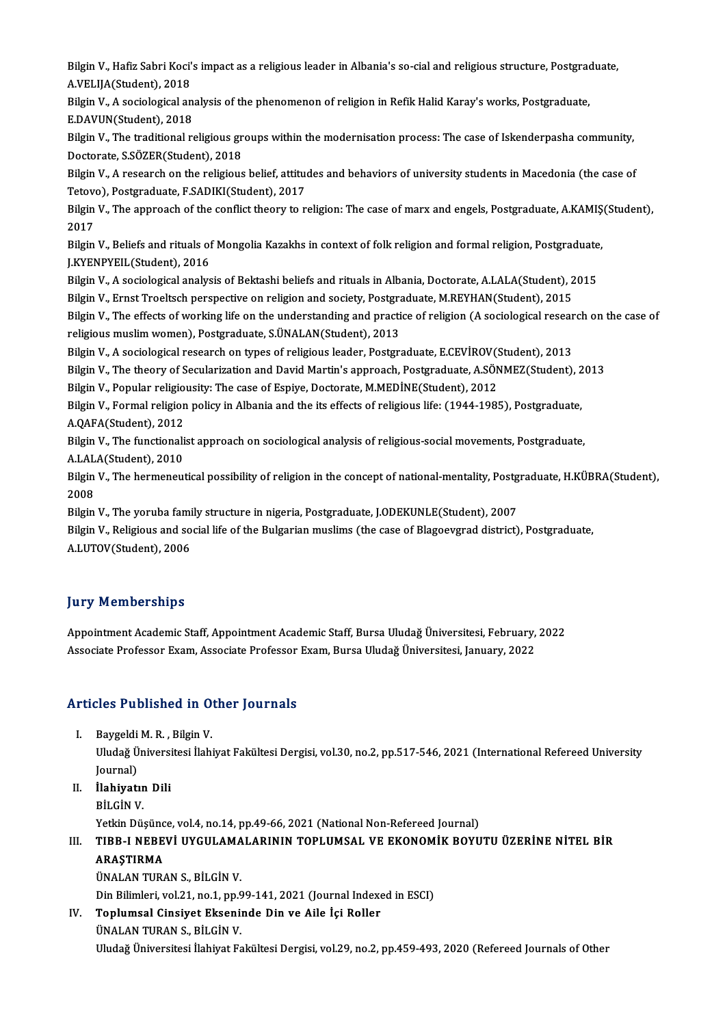Bilgin V., Hafiz Sabri Koci's impact as a religious leader in Albania's so-cial and religious structure, Postgraduate,<br>A VELUA(Student), 2019 **Bilgin V., Hafiz Sabri Koci'**<br>A.VELIJA(Student), 2018<br>Bilgin V. A sosiologisel an Bilgin V., Hafiz Sabri Koci's impact as a religious leader in Albania's so-cial and religious structure, Postgrad<br>A.VELIJA(Student), 2018<br>Bilgin V., A sociological analysis of the phenomenon of religion in Refik Halid Kara

A.VELIJA(Student), 2018<br>Bilgin V., A sociological analysis of the phenomenon of religion in Refik Halid Karay's works, Postgraduate,<br>E.DAVUN(Student), 2018 Bilgin V., A sociological analysis of the phenomenon of religion in Refik Halid Karay's works, Postgraduate,<br>E.DAVUN(Student), 2018<br>Bilgin V., The traditional religious groups within the modernisation process: The case of

E.DAVUN(Student), 2018<br>Bilgin V., The traditional religious gr<br>Doctorate, S.SÖZER(Student), 2018<br>Bilgin V. A researsh an the religious Bilgin V., The traditional religious groups within the modernisation process: The case of Iskenderpasha community,<br>Doctorate, S.SÖZER(Student), 2018<br>Bilgin V., A research on the religious belief, attitudes and behaviors of

Doctorate, S.SÖZER(Student), 2018<br>Bilgin V., A research on the religious belief, attitue<br>Tetovo), Postgraduate, F.SADIKI(Student), 2017<br>Bilgin V., The approach of the conflict theory to r Bilgin V., A research on the religious belief, attitudes and behaviors of university students in Macedonia (the case of<br>Tetovo), Postgraduate, F.SADIKI(Student), 2017<br>Bilgin V., The approach of the conflict theory to relig

Tetove<br>Bilgin<br>2017<br><sup>Bilgin</sup> Bilgin V., The approach of the conflict theory to religion: The case of marx and engels, Postgraduate, A.KAMIŞ<br>2017<br>Bilgin V., Beliefs and rituals of Mongolia Kazakhs in context of folk religion and formal religion, Postgr

2017<br>Bilgin V., Beliefs and rituals of<br>J.KYENPYEIL(Student), 2016<br>Bilgin V., A sociological analys Bilgin V., Beliefs and rituals of Mongolia Kazakhs in context of folk religion and formal religion, Postgraduate<br>J.KYENPYEIL(Student), 2016<br>Bilgin V., A sociological analysis of Bektashi beliefs and rituals in Albania, Doc J.KYENPYEIL(Student), 2016<br>Bilgin V., A sociological analysis of Bektashi beliefs and rituals in Albania, Doctorate, A.LALA(Student), 2<br>Bilgin V., Ernst Troeltsch perspective on religion and society, Postgraduate, M.REYHAN

Bilgin V., A sociological analysis of Bektashi beliefs and rituals in Albania, Doctorate, A.LALA(Student), 2015<br>Bilgin V., Ernst Troeltsch perspective on religion and society, Postgraduate, M.REYHAN(Student), 2015<br>Bilgin V Bilgin V., Ernst Troeltsch perspective on religion and society, Postgraduate, S.ÜNALAN(Student), 2013<br>Pilgin V., The effects of working life on the understanding and practicle<br>religious muslim women), Postgraduate, S.ÜNALA Bilgin V., The effects of working life on the understanding and practice of religion (A sociological resear<br>religious muslim women), Postgraduate, S.ÜNALAN(Student), 2013<br>Bilgin V., A sociological research on types of reli

religious muslim women), Postgraduate, S.ÜNALAN(Student), 2013<br>Bilgin V., A sociological research on types of religious leader, Postgraduate, E.CEVİROV(Student), 2013<br>Bilgin V., The theory of Secularization and David Marti Bilgin V., A sociological research on types of religious leader, Postgraduate, E.CEVİROV(!<br>Bilgin V., The theory of Secularization and David Martin's approach, Postgraduate, A.SÖN<br>Bilgin V., Popular religiousity: The case

Bilgin V., The theory of Secularization and David Martin's approach, Postgraduate, A.SÖNMEZ(Student), 2<br>Bilgin V., Popular religiousity: The case of Espiye, Doctorate, M.MEDİNE(Student), 2012<br>Bilgin V., Formal religion pol Bilgin V., Popular religio<br>Bilgin V., Formal religion<br>A.QAFA(Student), 2012<br><sup>Bilgin V.,</sup> The functionali Bilgin V., Formal religion policy in Albania and the its effects of religious life: (1944-1985), Postgraduate,<br>A.QAFA(Student), 2012<br>Bilgin V., The functionalist approach on sociological analysis of religious-social moveme

A.QAFA(Student), 2012<br>Bilgin V., The functionalist approach on sociological analysis of religious-social movements, Postgraduate,<br>A.LALA(Student), 2010 Bilgin V., The functionalist approach on sociological analysis of religious-social movements, Postgraduate,<br>A.LALA(Student), 2010<br>Bilgin V., The hermeneutical possibility of religion in the concept of national-mentality, P

A.LAL<br>Bilgin<br>2008<br><sup>Bilgin</sup> Bilgin V., The hermeneutical possibility of religion in the concept of national-mentality, Postg<br>2008<br>Bilgin V., The yoruba family structure in nigeria, Postgraduate, J.ODEKUNLE(Student), 2007<br>Pilgin V., Poligiaus and soci

2008<br>Bilgin V., The yoruba family structure in nigeria, Postgraduate, J.ODEKUNLE(Student), 2007<br>Bilgin V., Religious and social life of the Bulgarian muslims (the case of Blagoevgrad district), Postgraduate,<br>A UITOV(Studen Bilgin V., The yoruba fami<br>Bilgin V., Religious and so<br>A.LUTOV(Student), 2006

# A.LUTOV(Student), 2006<br>Jury Memberships

**Jury Memberships<br>Appointment Academic Staff, Appointment Academic Staff, Bursa Uludağ Üniversitesi, February, 2022**<br>Assesiste Prefessor Evam, Assesiste Prefessor Evam, Bursa Uludağ Üniversitesi, January, 2022 Jury Trembersmps<br>Appointment Academic Staff, Appointment Academic Staff, Bursa Uludağ Üniversitesi, February,<br>Associate Professor Exam, Associate Professor Exam, Bursa Uludağ Üniversitesi, January, 2022

# Associate Professor Exam, Associate Professor<br>Articles Published in Other Journals **Tricles Published in O**.<br>I. Baygeldi M.R., Bilgin V.<br>Illudeğ Üniversitesi İlabi

IICU I dibilisited in Othor Journals<br>Baygeldi M. R. , Bilgin V.<br>Uludağ Üniversitesi İlahiyat Fakültesi Dergisi, vol.30, no.2, pp.517-546, 2021 (International Refereed University Baygeldi<br>Uludağ Ü<br>Journal)<br>İlebiyeti Uludağ Üniversi<br>Journal)<br>II. **İlahiyatın Dili**<br>Pit cin v

Journal)<br>İ<mark>lahiyatır</mark><br>BİLGİN V.<br><sup>Vetkin</sup> Pü

BİLGİN V.<br>Yetkin Düşünce, vol.4, no.14, pp.49-66, 2021 (National Non-Refereed Journal)

### BİLGİN V.<br>Yetkin Düşünce, vol.4, no.14, pp.49-66, 2021 (National Non-Refereed Journal)<br>III. TIBB-I NEBEVİ UYGULAMALARININ TOPLUMSAL VE EKONOMİK BOYUTU ÜZERİNE NİTEL BİR<br>ARASTIRMA ARAŞTIRMA<br>ÜNALAN TURAN S.. BİLGİN V. <mark>TIBB-I NEBEVİ UYGULAMA</mark><br>ARAŞTIRMA<br>ÜNALAN TURAN S., BİLGİN V.<br>Din Bilimleri vel 31 ne 1 nn G ARAŞTIRMA<br>ÜNALAN TURAN S., BİLGİN V.<br>Din Bilimleri, vol.21, no.1, pp.99-141, 2021 (Journal Indexed in ESCI)<br>Toplumeal Ginsiyet Ekseninde Din ve Aile İsi Beller

IV. Toplumsal Cinsiyet Ekseninde Din ve Aile İçi Roller<br>ÜNALAN TURAN S., BİLGİN V. Din Bilimleri, vol.21, no.1, pp.9<br>Toplumsal Cinsiyet Ekseni<br>ÜNALAN TURAN S., BİLGİN V.<br>Uludağ Üniversitesi İlabiyat Es Uludağ Üniversitesi İlahiyat Fakültesi Dergisi, vol.29, no.2, pp.459-493, 2020 (Refereed Journals of Other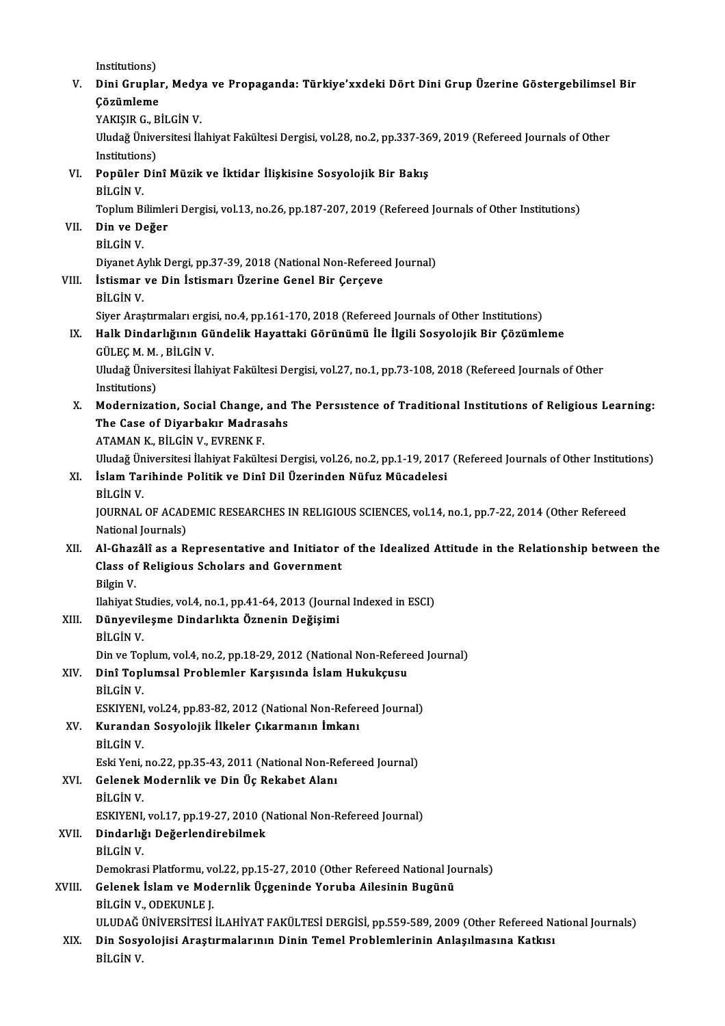|        | Institutions)                                                                                                                                        |
|--------|------------------------------------------------------------------------------------------------------------------------------------------------------|
| V.     | Dini Gruplar, Medya ve Propaganda: Türkiye'xxdeki Dört Dini Grup Üzerine Göstergebilimsel Bir                                                        |
|        | Çözümleme                                                                                                                                            |
|        | YAKIŞIR G., BİLGİN V                                                                                                                                 |
|        | Uludağ Üniversitesi İlahiyat Fakültesi Dergisi, vol.28, no.2, pp.337-369, 2019 (Refereed Journals of Other                                           |
|        | Institutions)                                                                                                                                        |
| VI.    | Popüler Dinî Müzik ve İktidar İlişkisine Sosyolojik Bir Bakış                                                                                        |
|        | BİLGİN V.                                                                                                                                            |
|        | Toplum Bilimleri Dergisi, vol.13, no.26, pp.187-207, 2019 (Refereed Journals of Other Institutions)                                                  |
| VII.   | Din ve Değer                                                                                                                                         |
|        | BİLGİN V.                                                                                                                                            |
|        | Diyanet Aylık Dergi, pp.37-39, 2018 (National Non-Refereed Journal)                                                                                  |
| VIII.  | İstismar ve Din İstismarı Üzerine Genel Bir Çerçeve<br>BİLGİN V                                                                                      |
|        | Siyer Araştırmaları ergisi, no.4, pp.161-170, 2018 (Refereed Journals of Other Institutions)                                                         |
| IX.    | Halk Dindarlığının Gündelik Hayattaki Görünümü İle İlgili Sosyolojik Bir Çözümleme                                                                   |
|        | GÜLEÇMM, BİLGİNV                                                                                                                                     |
|        | Uludağ Üniversitesi İlahiyat Fakültesi Dergisi, vol.27, no.1, pp.73-108, 2018 (Refereed Journals of Other                                            |
|        | Institutions)                                                                                                                                        |
| Х.     | Modernization, Social Change, and The Persistence of Traditional Institutions of Religious Learning:                                                 |
|        | The Case of Diyarbakır Madrasahs                                                                                                                     |
|        | ATAMAN K., BİLGİN V., EVRENK F.                                                                                                                      |
|        | Uludağ Üniversitesi İlahiyat Fakültesi Dergisi, vol.26, no.2, pp.1-19, 2017 (Refereed Journals of Other Institutions)                                |
| XI.    | İslam Tarihinde Politik ve Dinî Dil Üzerinden Nüfuz Mücadelesi                                                                                       |
|        | BİLGİN V.                                                                                                                                            |
|        | JOURNAL OF ACADEMIC RESEARCHES IN RELIGIOUS SCIENCES, vol.14, no.1, pp.7-22, 2014 (Other Refereed                                                    |
|        | National Journals)                                                                                                                                   |
| XII.   | Al-Ghazâlî as a Representative and Initiator of the Idealized Attitude in the Relationship between the<br>Class of Religious Scholars and Government |
|        | Bilgin V                                                                                                                                             |
|        | Ilahiyat Studies, vol.4, no.1, pp.41-64, 2013 (Journal Indexed in ESCI)                                                                              |
| XIII.  | Dünyevileşme Dindarlıkta Öznenin Değişimi                                                                                                            |
|        | BİLGİN V.                                                                                                                                            |
|        | Din ve Toplum, vol.4, no.2, pp.18-29, 2012 (National Non-Refereed Journal)                                                                           |
| XIV.   | Dinî Toplumsal Problemler Karşısında İslam Hukukçusu                                                                                                 |
|        | BİLGİN V.                                                                                                                                            |
|        | ESKIYENI, vol.24, pp.83-82, 2012 (National Non-Refereed Journal)                                                                                     |
| XV.    | Kurandan Sosyolojik İlkeler Çıkarmanın İmkanı                                                                                                        |
|        | BİLGİN V.                                                                                                                                            |
|        | Eski Yeni, no.22, pp.35-43, 2011 (National Non-Refereed Journal)                                                                                     |
| XVI.   | Gelenek Modernlik ve Din Üç Rekabet Alanı                                                                                                            |
|        | BİLGİN V.<br>ESKIYENI, vol.17, pp.19-27, 2010 (National Non-Refereed Journal)                                                                        |
| XVII.  | Dindarlığı Değerlendirebilmek                                                                                                                        |
|        | BİLGİN V.                                                                                                                                            |
|        | Demokrasi Platformu, vol.22, pp.15-27, 2010 (Other Refereed National Journals)                                                                       |
| XVIII. | Gelenek İslam ve Modernlik Üçgeninde Yoruba Ailesinin Bugünü                                                                                         |
|        | BİLGİN V., ODEKUNLE J.                                                                                                                               |
|        | ULUDAĞ ÜNIVERSİTESİ İLAHİYAT FAKÜLTESİ DERGİSİ, pp.559-589, 2009 (Other Refereed National Journals)                                                  |
| XIX.   | Din Sosyolojisi Araştırmalarının Dinin Temel Problemlerinin Anlaşılmasına Katkısı                                                                    |
|        | BİLGİN V.                                                                                                                                            |
|        |                                                                                                                                                      |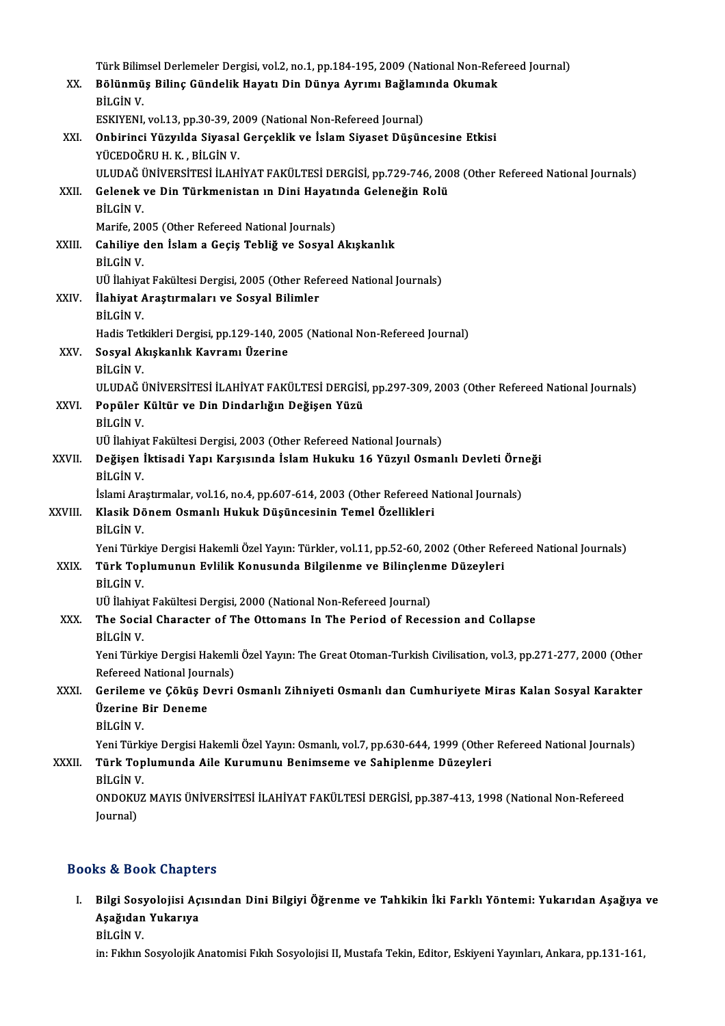| XX.         | Türk Bilimsel Derlemeler Dergisi, vol.2, no.1, pp.184-195, 2009 (National Non-Refereed Journal)<br>Bölünmüş Bilinç Gündelik Hayatı Din Dünya Ayrımı Bağlamında Okumak           |
|-------------|---------------------------------------------------------------------------------------------------------------------------------------------------------------------------------|
|             | <b>BİLGİN V.</b>                                                                                                                                                                |
| XXI.        | ESKIYENI, vol.13, pp.30-39, 2009 (National Non-Refereed Journal)<br>Onbirinci Yüzyılda Siyasal Gerçeklik ve İslam Siyaset Düşüncesine Etkisi                                    |
|             | YÜCEDOĞRU H. K., BİLGİN V.                                                                                                                                                      |
| XXII.       | ULUDAĞ ÜNİVERSİTESİ İLAHİYAT FAKÜLTESİ DERGİSİ, pp.729-746, 2008 (Other Refereed National Journals)<br>Gelenek ve Din Türkmenistan ın Dini Hayatında Geleneğin Rolü             |
|             | BİLGİN V.<br>Marife, 2005 (Other Refereed National Journals)                                                                                                                    |
| XXIII.      | Cahiliye den İslam a Geçiş Tebliğ ve Sosyal Akışkanlık                                                                                                                          |
|             | BİLGİN V.<br>UÜ İlahiyat Fakültesi Dergisi, 2005 (Other Refereed National Journals)                                                                                             |
| XXIV.       | İlahiyat Araştırmaları ve Sosyal Bilimler<br>BİLGİN V.                                                                                                                          |
|             | Hadis Tetkikleri Dergisi, pp.129-140, 2005 (National Non-Refereed Journal)                                                                                                      |
| XXV.        | Sosyal Akışkanlık Kavramı Üzerine<br><b>BİLGİN V.</b>                                                                                                                           |
| XXVI.       | ULUDAĞ ÜNIVERSITESI İLAHİYAT FAKÜLTESİ DERGİSİ, pp.297-309, 2003 (Other Refereed National Journals)<br>Popüler Kültür ve Din Dindarlığın Değişen Yüzü                           |
|             | <b>BİLGİN V.</b>                                                                                                                                                                |
| XXVII.      | UÜ İlahiyat Fakültesi Dergisi, 2003 (Other Refereed National Journals)<br>Değişen İktisadi Yapı Karşısında İslam Hukuku 16 Yüzyıl Osmanlı Devleti Örneği                        |
|             | BİLGİN V.<br>İslami Araştırmalar, vol.16, no.4, pp.607-614, 2003 (Other Refereed National Journals)                                                                             |
| XXVIII.     | Klasik Dönem Osmanlı Hukuk Düşüncesinin Temel Özellikleri                                                                                                                       |
|             | BİLGİN V.<br>Yeni Türkiye Dergisi Hakemli Özel Yayın: Türkler, vol.11, pp.52-60, 2002 (Other Refereed National Journals)                                                        |
| <b>XXIX</b> | Türk Toplumunun Evlilik Konusunda Bilgilenme ve Bilinçlenme Düzeyleri<br>BİLGİN V.                                                                                              |
|             | UÜ İlahiyat Fakültesi Dergisi, 2000 (National Non-Refereed Journal)                                                                                                             |
| XXX.        | The Social Character of The Ottomans In The Period of Recession and Collapse<br>BİLGİN V.                                                                                       |
|             | Yeni Türkiye Dergisi Hakemli Özel Yayın: The Great Otoman-Turkish Civilisation, vol.3, pp.271-277, 2000 (Other<br>Refereed National Journals)                                   |
| XXXI.       | Gerileme ve Çöküş Devri Osmanlı Zihniyeti Osmanlı dan Cumhuriyete Miras Kalan Sosyal Karakter                                                                                   |
|             | Üzerine Bir Deneme<br>BİLGİN V.                                                                                                                                                 |
| XXXII.      | Yeni Türkiye Dergisi Hakemli Özel Yayın: Osmanlı, vol.7, pp.630-644, 1999 (Other Refereed National Journals)<br>Türk Toplumunda Aile Kurumunu Benimseme ve Sahiplenme Düzeyleri |
|             | BİLGİN V.                                                                                                                                                                       |
|             | ONDOKUZ MAYIS ÜNİVERSİTESİ İLAHİYAT FAKÜLTESİ DERGİSİ, pp.387-413, 1998 (National Non-Refereed<br>Journal)                                                                      |
|             |                                                                                                                                                                                 |

#### Books&Book Chapters

I. Bilgi Sosyolojisi Açısından Dini Bilgiyi Öğrenme ve Tahkikin İki Farklı Yöntemi: Yukarıdan Aşağıya ve kə & Book Ghapee<br>Bilgi Sosyolojisi Aç<br>Aşağıdan Yukarıya<br>Pilçin V Bilgi Sosy<br>Aşağıdan<br>BİLGİN V.<br>in Elihm Aşağıdan Yukarıya<br>BİLGİN V.<br>in: Fıkhın Sosyolojik Anatomisi Fıkıh Sosyolojisi II, Mustafa Tekin, Editor, Eskiyeni Yayınları, Ankara, pp.131-161,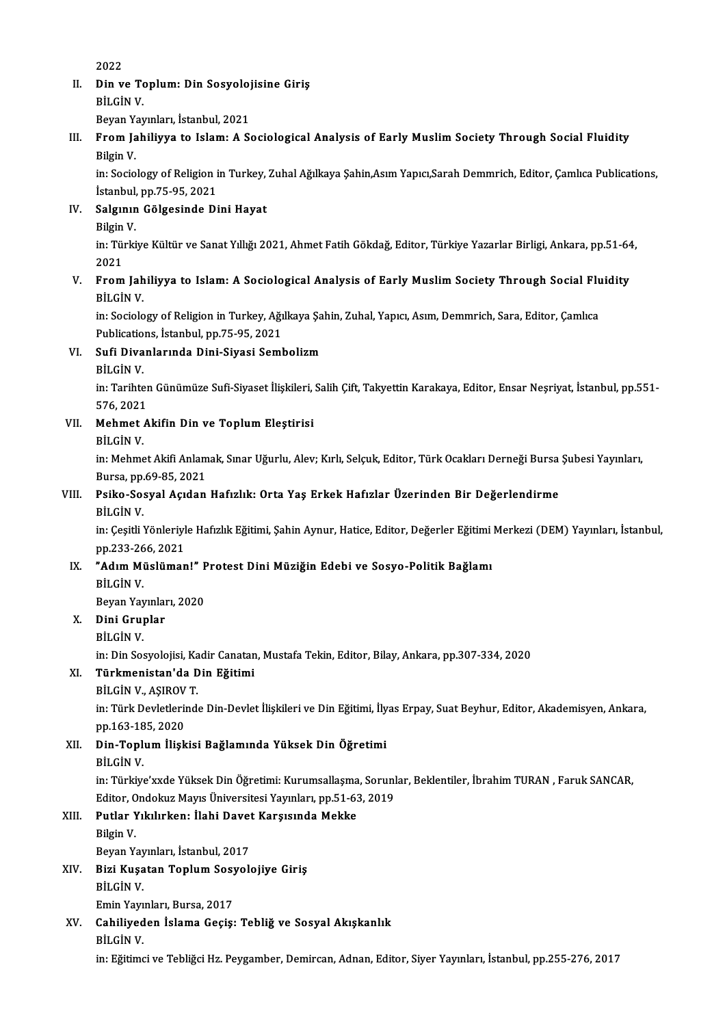2022

- 2022<br>II. Din ve Toplum: Din Sosyolojisine Giriş<br>Pit çin v 2022<br>Din ve To<br>BİLGİN V.<br>Bayan Yay Din ve Toplum: Din Sosyoloj<br>BİLGİN V.<br>Beyan Yayınları, İstanbul, 2021<br>From Jobiliyya ta Jalamı A S. Beyan Yayınları, İstanbul, 2021
- BİLGİN V.<br>Beyan Yayınları, İstanbul, 2021<br>III. From Jahiliyya to Islam: A Sociological Analysis of Early Muslim Society Through Social Fluidity<br>Bilgin V. From Jahiliyya to Islam: A Sociological Analysis of Early Muslim Society Through Social Fluidity<br>Bilgin V.<br>in: Sociology of Religion in Turkey, Zuhal Ağılkaya Şahin,Asım Yapıcı,Sarah Demmrich, Editor, Çamlıca Publications,

Bilgin V.<br>in: Sociology of Religion i<br>İstanbul, pp.75-95, 2021<br>Salgının Gölgesinde Di in: Sociology of Religion in Turkey,<br>İstanbul, pp.75-95, 2021<br>IV. Salgının Gölgesinde Dini Hayat

# İstanbul,<br><mark>Salgının</mark><br>Bilgin V.<br>in Türki

Bilgin V.

in: Türkiye Kültür ve Sanat Yıllığı 2021, Ahmet Fatih Gökdağ, Editor, Türkiye Yazarlar Birligi, Ankara, pp.51-64,<br>2021 in: Türkiye Kültür ve Sanat Yıllığı 2021, Ahmet Fatih Gökdağ, Editor, Türkiye Yazarlar Birligi, Ankara, pp.51-64<br>2021<br>V. From Jahiliyya to Islam: A Sociological Analysis of Early Muslim Society Through Social Fluidity<br>

## 2021<br>From Jah<br>BİLGİN V.<br>in Sociolo From Jahiliyya to Islam: A Sociological Analysis of Early Muslim Society Through Social Flu<br>BİLGİN V.<br>in: Sociology of Religion in Turkey, Ağılkaya Şahin, Zuhal, Yapıcı, Asım, Demmrich, Sara, Editor, Çamlıca<br>Publisations,

BİLGİN V.<br>in: Sociology of Religion in Turkey, Ağılkaya Şahin, Zuhal, Yapıcı, Asım, Demmrich, Sara, Editor, Çamlıca Publications, İstanbul, pp.75-95, 2021

### VI. Sufi Divanlarında Dini-Siyasi Sembolizm

Sufi Divanlarında Dini-Siyasi Sembolizm<br>BİLGİN V.<br>in: Tarihten Günümüze Sufi-Siyaset İlişkileri, Salih Çift, Takyettin Karakaya, Editor, Ensar Neşriyat, İstanbul, pp.551-BİLGİN V.<br>in: Tarihter<br>576, 2021<br>Mehmet A 576, 2021

### VII. Mehmet Akifin Din ve Toplum Eleştirisi<br>BİLGİN V.

Mehmet Akifin Din ve Toplum Eleştirisi<br>BİLGİN V.<br>in: Mehmet Akifi Anlamak, Sınar Uğurlu, Alev; Kırlı, Selçuk, Editor, Türk Ocakları Derneği Bursa Şubesi Yayınları,<br>Bursa nn 69.95.2021 BİLGİN V.<br>in: Mehmet Akifi Anlam<br>Bursa, pp.69-85, 2021<br>Psika, Sosval, Asıdan in: Mehmet Akifi Anlamak, Sınar Uğurlu, Alev; Kırlı, Selçuk, Editor, Türk Ocakları Derneği Bursa<br>Bursa, pp.69-85, 2021<br>VIII. Psiko-Sosyal Açıdan Hafızlık: Orta Yaş Erkek Hafızlar Üzerinden Bir Değerlendirme<br>Pit Cin V

## Bursa, pp.69-85, 2021<br>VIII. Psiko-Sosyal Açıdan Hafızlık: Orta Yaş Erkek Hafızlar Üzerinden Bir Değerlendirme<br>BİLGİN V.

Psiko-Sosyal Açıdan Hafızlık: Orta Yaş Erkek Hafızlar Üzerinden Bir Değerlendirme<br>BİLGİN V.<br>in: Çeşitli Yönleriyle Hafızlık Eğitimi, Şahin Aynur, Hatice, Editor, Değerler Eğitimi Merkezi (DEM) Yayınları, İstanbul,<br>nn 222 2 BİLGİN V.<br>in: Çeşitli Yönleriyl<br>pp.233-266, 2021<br>"Adım Müslüman in: Çeşitli Yönleriyle Hafızlık Eğitimi, Şahin Aynur, Hatice, Editor, Değerler Eğitimi<br>pp.233-266, 2021<br>IX. "Adım Müslüman!" Protest Dini Müziğin Edebi ve Sosyo-Politik Bağlamı<br>pir.cin v

## pp.233-26<br>"Adım Mi<br>BİLGİN V. "Adım Müslüman!" F<br>BİLGİN V.<br>Beyan Yayınları, 2020<br>Dini Guunlar

## BİLGİN V.<br>Beyan Yayınlar<br>X. Dini Gruplar<br>BİLCİN V. Beyan Yay<br><mark>Dini Gruj</mark><br>BİLGİN V.<br>in Din So

BİLGİN V.<br>in: Din Sosyolojisi, Kadir Canatan, Mustafa Tekin, Editor, Bilay, Ankara, pp.307-334, 2020

## BİLGİN V.<br>in: Din Sosyolojisi, Kadir Canatan<br>XI. Türkmenistan'da Din Eğitimi<br>PİLCİN V. ASIROV T in: Din Sosyolojisi, Ka<br><mark>Türkmenistan'da D</mark><br>BİLGİN V., AŞIROV T.<br>in: Türk Devletlerind

Türkmenistan'da Din Eğitimi<br>BİLGİN V., AŞIROV T.<br>in: Türk Devletlerinde Din-Devlet İlişkileri ve Din Eğitimi, İlyas Erpay, Suat Beyhur, Editor, Akademisyen, Ankara, BİLGİN V., AŞIROV<br>in: Türk Devletleri<br>pp.163-185, 2020<br>Din Tenlum İlişk pp 163-185, 2020

### XII. Din-Toplum İlişkisi Bağlamında Yüksek Din Öğretimi<br>BİLGİN V.

Di<mark>n-Toplum İlişkisi Bağlamında Yüksek Din Öğretimi</mark><br>BİLGİN V.<br>in: Türkiye'xxde Yüksek Din Öğretimi: Kurumsallaşma, Sorunlar, Beklentiler, İbrahim TURAN , Faruk SANCAR,<br>Editor, Ondolug Mayıs Üniversitesi Yayınları, pp.51,6 BİLGİN V.<br>in: Türkiye'xxde Yüksek Din Öğretimi: Kurumsallaşma, Sorunl<br>Editor, Ondokuz Mayıs Üniversitesi Yayınları, pp.51-63, 2019<br>Butlar Yıltılırkanı İlabi Davet Karsısında Makka in: Türkiye'xxde Yüksek Din Öğretimi: Kurumsallaşma<br>Editor, Ondokuz Mayıs Üniversitesi Yayınları, pp.51-63<br>XIII. Putlar Yıkılırken: İlahi Davet Karşısında Mekke

### Editor, Ondokuz Mayıs Üniversitesi Yayınları, pp.51-63, 2019<br>Putlar Yıkılırken: İlahi Davet Karşısında Mekke<br>Bilgin V.<br>Bevan Yayınları, İstanbul, 2017 Putlar Yıkılırken: İlahi Davet<br>Bilgin V.<br>Beyan Yayınları, İstanbul, 2017<br>Biri Kusatan Tanlum Sasualı

### Bilgin V.<br>Beyan Yayınları, İstanbul, 2017<br>XIV. Bizi Kuşatan Toplum Sosyolojiye Giriş<br>Pit Cin V Beyan Yay<br><mark>Bizi Kuşa</mark><br>BİLGİN V. Bizi <mark>Kuşatan Toplum Sosy</mark><br>BİLGİN V.<br>Emin Yayınları, Bursa, 2017<br>Cabiliyadan İslama Casisı BİLGİN V.<br>Emin Yayınları, Bursa, 2017<br>XV. Cahiliyeden İslama Geçiş: Tebliğ ve Sosyal Akışkanlık<br>BİLGİN V.

Emin Yayı<br>Cahiliyed<br>BİLGİN V.<br>in Făitime

in: Eğitimci ve Tebliğci Hz. Peygamber, Demircan, Adnan, Editor, Siyer Yayınları, İstanbul, pp.255-276, 2017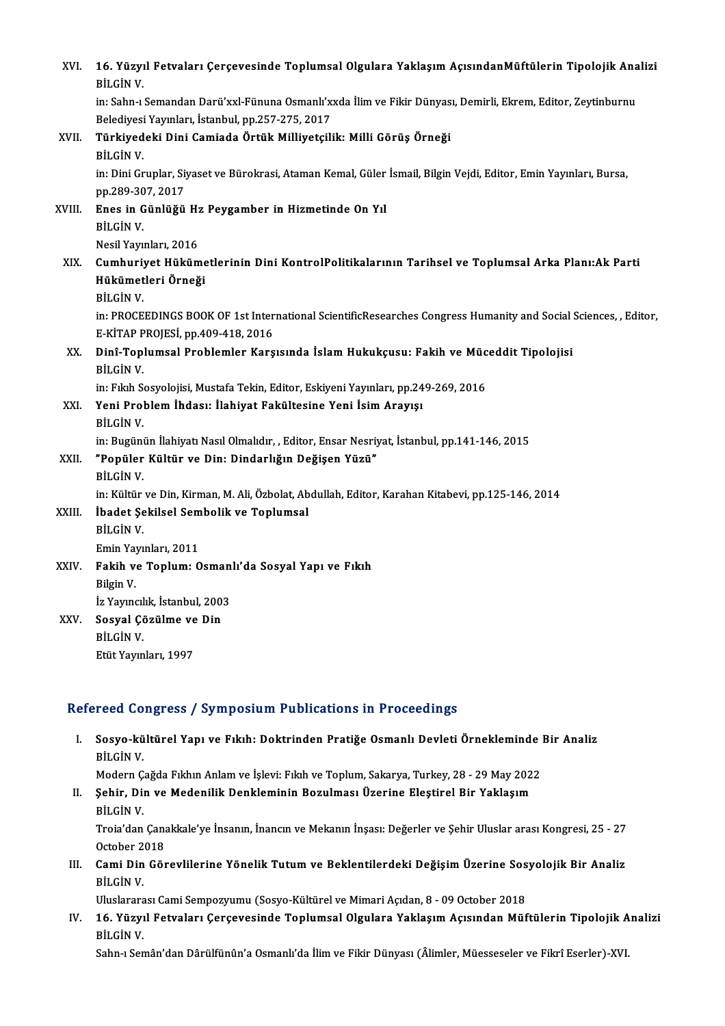| XVI.        | 16. Yüzyıl Fetvaları Çerçevesinde Toplumsal Olgulara Yaklaşım AçısındanMüftülerin Tipolojik Analizi                                  |
|-------------|--------------------------------------------------------------------------------------------------------------------------------------|
|             | BİLGİN V.                                                                                                                            |
|             | in: Sahn-ı Semandan Darü'xxl-Fünuna Osmanlı'xxda İlim ve Fikir Dünyası, Demirli, Ekrem, Editor, Zeytinburnu                          |
|             | Belediyesi Yayınları, İstanbul, pp.257-275, 2017                                                                                     |
| XVII.       | Türkiyedeki Dini Camiada Örtük Milliyetçilik: Milli Görüş Örneği                                                                     |
|             | BİLGİN V.                                                                                                                            |
|             | in: Dini Gruplar, Siyaset ve Bürokrasi, Ataman Kemal, Güler İsmail, Bilgin Vejdi, Editor, Emin Yayınları, Bursa,<br>pp 289-307, 2017 |
| XVIII.      | Enes in Günlüğü Hz Peygamber in Hizmetinde On Yıl                                                                                    |
|             | BİLGİN V.                                                                                                                            |
|             | Nesil Yayınları, 2016                                                                                                                |
| XIX.        | Cumhuriyet Hükümetlerinin Dini KontrolPolitikalarının Tarihsel ve Toplumsal Arka Planı:Ak Parti                                      |
|             | Hükümetleri Örneği                                                                                                                   |
|             | BİLGİN V.                                                                                                                            |
|             | in: PROCEEDINGS BOOK OF 1st International ScientificResearches Congress Humanity and Social Sciences,, Editor,                       |
|             | E-KİTAP PROJESİ, pp.409-418, 2016                                                                                                    |
| XX.         | Dinî-Toplumsal Problemler Karşısında İslam Hukukçusu: Fakih ve Müceddit Tipolojisi                                                   |
|             | BİLGİN V.                                                                                                                            |
|             | in: Fıkıh Sosyolojisi, Mustafa Tekin, Editor, Eskiyeni Yayınları, pp.249-269, 2016                                                   |
| XXI.        | Yeni Problem İhdası: İlahiyat Fakültesine Yeni İsim Arayışı                                                                          |
|             | <b>BİLGİN V.</b>                                                                                                                     |
|             | in: Bugünün İlahiyatı Nasıl Olmalıdır, , Editor, Ensar Nesriyat, İstanbul, pp.141-146, 2015                                          |
| XXII.       | "Popüler Kültür ve Din: Dindarlığın Değişen Yüzü"                                                                                    |
|             | BİLGİN V.                                                                                                                            |
|             | in: Kültür ve Din, Kirman, M. Ali, Özbolat, Abdullah, Editor, Karahan Kitabevi, pp.125-146, 2014                                     |
| XXIII.      | İbadet Şekilsel Sembolik ve Toplumsal                                                                                                |
|             | BİLGİN V.                                                                                                                            |
|             | Emin Yayınları, 2011                                                                                                                 |
| <b>XXIV</b> | Fakih ve Toplum: Osmanlı'da Sosyal Yapı ve Fıkıh                                                                                     |
|             | Bilgin V                                                                                                                             |
|             | İz Yayıncılık, İstanbul, 2003                                                                                                        |
| XXV.        | Sosyal Çözülme ve Din                                                                                                                |
|             | BİLGİN V.<br>Etüt Yayınları, 1997                                                                                                    |
|             |                                                                                                                                      |

#### Refereed Congress / Symposium Publications in Proceedings

efereed Congress / Symposium Publications in Proceedings<br>I. Sosyo-kültürel Yapı ve Fıkıh: Doktrinden Pratiğe Osmanlı Devleti Örnekleminde Bir Analiz<br>Pit Cin V sosyo-kü<br>BİLGİN V.<br>Madarın C Sosyo-kültürel Yapı ve Fıkıh: Doktrinden Pratiğe Osmanlı Devleti Örnekleminde i<br>BİLGİN V.<br>Modern Çağda Fıkhın Anlam ve İşlevi: Fıkıh ve Toplum, Sakarya, Turkey, 28 - 29 May 2022<br>Sehir, Din ve Medenilik Denkleminin Begylmas BİLGİN V.<br>Modern Çağda Fıkhın Anlam ve İşlevi: Fıkıh ve Toplum, Sakarya, Turkey, 28 - 29 May 202.<br>II. Şehir, Din ve Medenilik Denkleminin Bozulması Üzerine Eleştirel Bir Yaklaşım<br>Pit çin v

Modern Ç<br><mark>Şehir, Di</mark>i<br>BİLGİN V.<br>Troja'dan Şehir, Din ve Medenilik Denkleminin Bozulması Üzerine Eleştirel Bir Yaklaşım<br>BİLGİN V.<br>Troia'dan Çanakkale'ye İnsanın, İnancın ve Mekanın İnşası: Değerler ve Şehir Uluslar arası Kongresi, 25 - 27<br>Osteber 2019

BİLGİN V.<br>Troia'dan Çana<br>October 2018<br>Cami Din Gör Iroia'dan Çanakkale'ye İnsanın, İnancın ve Mekanın İnşası: Değerler ve Şehir Uluslar arası Kongresi, 25 - 27<br>October 2018<br>III. Cami Din Görevlilerine Yönelik Tutum ve Beklentilerdeki Değişim Üzerine Sosyolojik Bir Analiz<br>P

October 2<br>Cami Din<br>BİLGİN V.<br>Uluslarara Cami Din Görevlilerine Yönelik Tutum ve Beklentilerdeki Değişim Üzerine Sos<br>BİLGİN V.<br>Uluslararası Cami Sempozyumu (Sosyo-Kültürel ve Mimari Açıdan, 8 - 09 October 2018<br>16 Vüryul Estyalanı Carsayssinde Tenlumsal Olsulara Y

BİLGİN V.<br>Uluslararası Cami Sempozyumu (Sosyo-Kültürel ve Mimari Açıdan, 8 - 09 October 2018<br>IV. 16. Yüzyıl Fetvaları Çerçevesinde Toplumsal Olgulara Yaklaşım Açısından Müftülerin Tipolojik Analizi<br>Pilçin V. Uluslarara<br>**16. Yüzyı**<br>BİLGİN V.<br>Sahnı San 16. Yüzyıl Fetvaları Çerçevesinde Toplumsal Olgulara Yaklaşım Açısından Müftülerin Tipolojik A<br>BİLGİN V.<br>Sahn-ı Semân'dan Dârülfünûn'a Osmanlı'da İlim ve Fikir Dünyası (Âlimler, Müesseseler ve Fikrî Eserler)-XVI.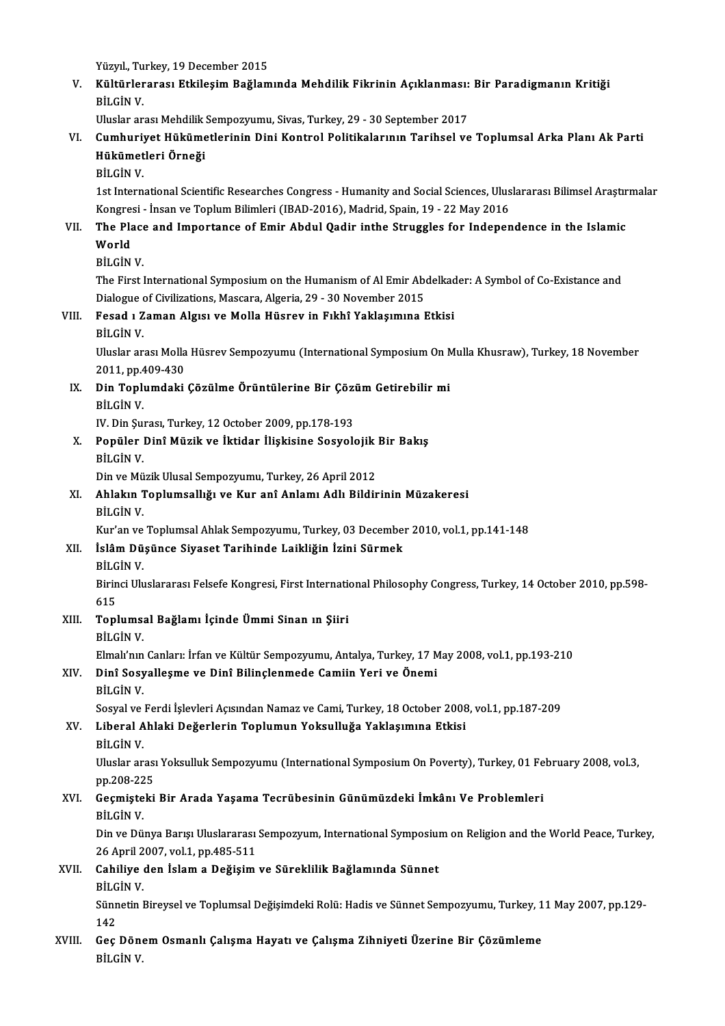Yüzyıl., Turkey, 19 December 2015<br>Yüzyıl., Turkey, 19 December 2015<br>Kültürlereresi Etkilesim Beğlem

Yüzyıl., Turkey, 19 December 2015<br>V. Kültürlerarası Etkileşim Bağlamında Mehdilik Fikrinin Açıklanması: Bir Paradigmanın Kritiği<br>Rit çiv v Yüzyıl., Tu<br><mark>Kültürler</mark><br>BİLGİN V.<br>Uluslar ar Kültürlerarası Etkileşim Bağlamında Mehdilik Fikrinin Açıklanması:<br>BİLGİN V.<br>Uluslar arası Mehdilik Sempozyumu, Sivas, Turkey, 29 - 30 September 2017<br>Cumbuniyat Hülvimatlarinin Dini Kantual Balitikalanının Tanihaal va

BİLGİN V.<br>Uluslar arası Mehdilik Sempozyumu, Sivas, Turkey, 29 - 30 September 2017<br>VI. Cumhuriyet Hükümetlerinin Dini Kontrol Politikalarının Tarihsel ve Toplumsal Arka Planı Ak Parti<br>Hükümetleri Örneği Uluslar arası Mehdilik Sempozyumu, Sivas, Turkey, 29 - 30 September 2017<br>Cumhuriyet Hükümetlerinin Dini Kontrol Politikalarının Tarihsel ve<br>Hükümetleri Örneği<br>BİLGİN V. Cumhuriy<br>Hükümet<br>BİLGİN V.

1st International Scientific Researches Congress - Humanity and Social Sciences, Uluslararası Bilimsel Araștırmalar Kongresi - İnsan ve Toplum Bilimleri (IBAD-2016), Madrid, Spain, 19 - 22 May 2016 1st International Scientific Researches Congress - Humanity and Social Sciences, Uluslararası Bilimsel Araştır<br>Kongresi - İnsan ve Toplum Bilimleri (IBAD-2016), Madrid, Spain, 19 - 22 May 2016<br>VII. The Place and Importance

### Kongres<br><mark>The Pla</mark><br>World<br>P<sup>it Cin</sup> The Place<br>World<br>BİLGİN V.<br>The First l World<br>BİLGİN V.<br>The First International Symposium on the Humanism of Al Emir Abdelkader: A Symbol of Co-Existance and

BİLGİN V.<br>The First International Symposium on the Humanism of Al Emir Abe<br>Dialogue of Civilizations, Mascara, Algeria, 29 - 30 November 2015<br>Fessed : Zaman, Algua ve Mollo Hüsnov in Fıkkî Yaklasımına I

### VIII. Fesad ı Zaman Algısı ve Molla Hüsrev in Fıkhî Yaklaşımına Etkisi<br>BİLGİN V. Dialogue<br>Fesad 1 Z<br>BİLGİN V.<br>Uluslar ar

Fesad ı Zaman Algısı ve Molla Hüsrev in Fıkhî Yaklaşımına Etkisi<br>BİLGİN V.<br>Uluslar arası Molla Hüsrev Sempozyumu (International Symposium On Mulla Khusraw), Turkey, 18 November<br>2011. np.409.420. BİLGİN V.<br>Uluslar arası Molla<br>2011, pp.409-430<br>Din Toplumdaki Uluslar arası Molla Hüsrev Sempozyumu (International Symposium On N<br>2011, pp.409-430<br>IX. Din Toplumdaki Çözülme Örüntülerine Bir Çözüm Getirebilir mi<br>Pil Cin V

2011, pp.4<br><mark>Din Topl</mark><br>BİLGİN V.<br>W. Din Sur Din Toplumdaki Çözülme Örüntülerine Bir Çözi<br>BİLGİN V.<br>IV. Din Şurası, Turkey, 12 October 2009, pp.178-193<br>Popüler Dinî Müzik ve İktider İlişkisine Sosvek

IV. Din Şurası, Turkey, 12 October 2009, pp.178-193

BİLGİN V.<br>IV. Din Şurası, Turkey, 12 October 2009, pp.178-193<br>X. Popüler Dinî Müzik ve İktidar İlişkisine Sosyolojik Bir Bakış<br>BİLGİN V. Popüler Dinî Müzik ve İktidar İlişkisine Sosyolojik<br>BİLGİN V.<br>Din ve Müzik Ulusal Sempozyumu, Turkey, 26 April 2012<br>Ahlakın Tonlumsallığı ve Kur anî Anlamı Adlı Bildir

### XI. Ahlakın Toplumsallığı ve Kur anî Anlamı Adlı Bildirinin Müzakeresi<br>BİLGİN V. Din ve Mü<br><mark>Ahlakın 1</mark><br>BİLGİN V.<br>Kur'an ve Ahlakın Toplumsallığı ve Kur anî Anlamı Adlı Bildirinin Müzakeresi<br>BİLGİN V.<br>Kur'an ve Toplumsal Ahlak Sempozyumu, Turkey, 03 December 2010, vol.1, pp.141-148<br>İalâm Düşünee Siyeset Tarihinde Laikliğin İsini Sürmek

### XII. İslâm Düşünce Siyaset Tarihinde Laikliğin İzini Sürmek<br>BİLGİN V. Kur'an ve<br>İslâm Dü<br>BİLGİN V.<br><sup>Birinci Ulu</sup>

İslâm Düşünce Siyaset Tarihinde Laikliğin İzini Sürmek<br>BİLGİN V.<br>Birinci Uluslararası Felsefe Kongresi, First International Philosophy Congress, Turkey, 14 October 2010, pp.598-BİLG<br>Birin<br>615<br>Tarl Birinci Uluslararası Felsefe Kongresi, First Internation<br>615<br>XIII. Toplumsal Bağlamı İçinde Ümmi Sinan ın Şiiri<br>Pit Cin V

615<br>Toplums:<br>BİLGİN V.<br>Elmek'nu

BİLGİN V.<br>Elmalı'nın Canları: İrfan ve Kültür Sempozyumu, Antalya, Turkey, 17 May 2008, vol.1, pp.193-210 BİLGİN V.<br>Elmalı'nın Canları: İrfan ve Kültür Sempozyumu, Antalya, Turkey, 17 M<br>XIV. Dinî Sosyalleşme ve Dinî Bilinçlenmede Camiin Yeri ve Önemi<br>Pit Cin V

# Elmalı'nın<br>Dinî Sosy<br>BİLGİN V.<br>Sosyal ve İ

BİLGİN V.<br>Sosyal ve Ferdi İşlevleri Açısından Namaz ve Cami, Turkey, 18 October 2008, vol.1, pp.187-209

## BİLGİN V.<br>Sosyal ve Ferdi İşlevleri Açısından Namaz ve Cami, Turkey, 18 October 2008<br>XV. Liberal Ahlaki Değerlerin Toplumun Yoksulluğa Yaklaşımına Etkisi<br>Pit Cin V Sosyal ve<br>Liberal A<br>BİLGİN V.<br>Uluslar ar

BİLGİN V.<br>Uluslar arası Yoksulluk Sempozyumu (International Symposium On Poverty), Turkey, 01 February 2008, vol.3, pp.208-225 Uluslar arası Yoksulluk Sempozyumu (International Symposium On Poverty), Turkey, 01 Fe<br>pp.208-225<br>XVI. Geçmişteki Bir Arada Yaşama Tecrübesinin Günümüzdeki İmkânı Ve Problemleri<br>pir.cin.v

# pp.208-22<br>Geçmişte<br>BİLGİN V.<br>Din ve Dü

BİLGİN V.<br>Din ve Dünya Barışı Uluslararası Sempozyum, International Symposium on Religion and the World Peace, Turkey, BİLGİN V.<br>Din ve Dünya Barışı Uluslararası<br>26 April 2007, vol.1, pp.485-511<br>Cabiliya dan İslam a Dağisim

#### XVII. Cahiliye den İslam a Değişim ve Süreklilik Bağlamında Sünnet 26 April 2<br>Cahiliye<br>BİLGİN V.<br>Sünnetin I BİLGİN V.

Sünnetin Bireysel ve Toplumsal Değişimdeki Rolü: Hadis ve Sünnet Sempozyumu, Turkey, 11 May 2007, pp.129-<br>142 Sünnetin Bireysel ve Toplumsal Değişimdeki Rolü: Hadis ve Sünnet Sempozyumu, Turkey, 1<br>142<br>XVIII. Geç Dönem Osmanlı Çalışma Hayatı ve Çalışma Zihniyeti Üzerine Bir Çözümleme<br>Pit Çin V

142<br>Geç Dön<br>BİLGİN V.